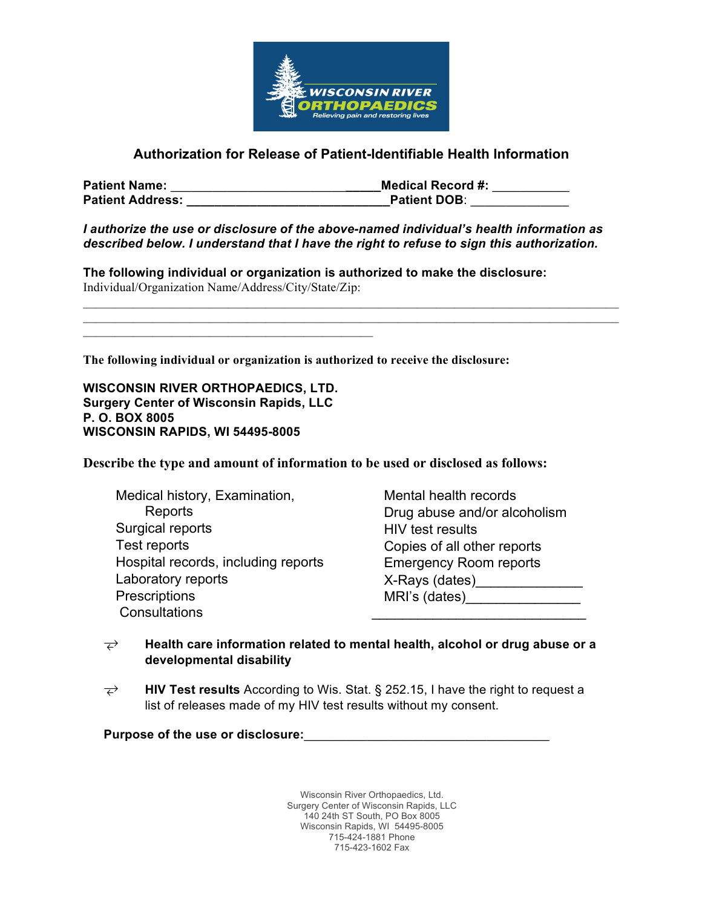

# **Authorization for Release of Patient-Identifiable Health Information**

| <b>Patient Name:</b>    | <b>Medical Record #:</b> |
|-------------------------|--------------------------|
| <b>Patient Address:</b> | <b>Patient DOB:</b>      |

*I authorize the use or disclosure of the above-named individual's health information as described below. I understand that I have the right to refuse to sign this authorization.*

**The following individual or organization is authorized to make the disclosure:** Individual/Organization Name/Address/City/State/Zip:

**The following individual or organization is authorized to receive the disclosure:**

**WISCONSIN RIVER ORTHOPAEDICS, LTD. Surgery Center of Wisconsin Rapids, LLC P. O. BOX 8005 WISCONSIN RAPIDS, WI 54495-8005**

 $\mathcal{L}_\text{max} = \mathcal{L}_\text{max} = \mathcal{L}_\text{max} = \mathcal{L}_\text{max} = \mathcal{L}_\text{max} = \mathcal{L}_\text{max} = \mathcal{L}_\text{max}$ 

**Describe the type and amount of information to be used or disclosed as follows:**

 Medical history, Examination, Reports Surgical reports Test reports Hospital records, including reports Laboratory reports **Prescriptions** Consultations

 Mental health records Drug abuse and/or alcoholism HIV test results Copies of all other reports Emergency Room reports X-Rays (dates)\_\_\_\_\_\_\_\_\_\_\_\_\_\_ MRI's (dates)\_\_\_\_\_\_\_\_\_\_\_\_\_\_\_  $\mathcal{L}=\{1,2,3,4,5\}$ 

- **Health care information related to mental health, alcohol or drug abuse or a developmental disability**
- **HIV Test results** According to Wis. Stat. § 252.15, I have the right to request a list of releases made of my HIV test results without my consent.

**Purpose of the use or disclosure:**\_\_\_\_\_\_\_\_\_\_\_\_\_\_\_\_\_\_\_\_\_\_\_\_\_\_\_\_\_\_\_\_\_\_\_

Wisconsin River Orthopaedics, Ltd. Surgery Center of Wisconsin Rapids, LLC 140 24th ST South, PO Box 8005 Wisconsin Rapids, WI 54495-8005 715-424-1881 Phone 715-423-1602 Fax